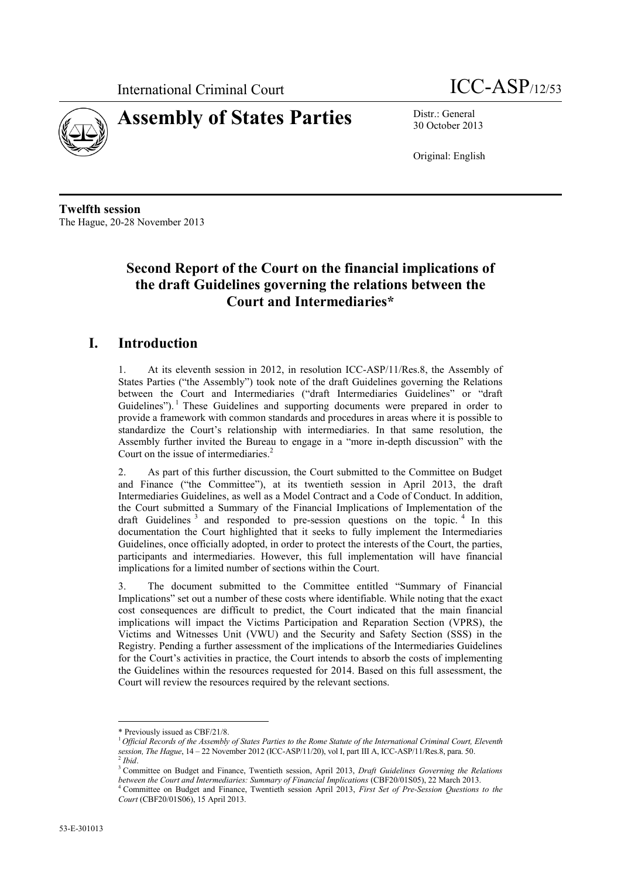



30 October 2013

Original: English

**Twelfth session** The Hague, 20-28 November 2013

## **Second Report of the Court on the financial implications of the draft Guidelines governing the relations between the Court and Intermediaries\***

### **I. Introduction**

1. At its eleventh session in 2012, in resolution ICC-ASP/11/Res.8, the Assembly of States Parties ("the Assembly") took note of the draft Guidelines governing the Relations between the Court and Intermediaries ("draft Intermediaries Guidelines" or "draft Guidelines").<sup>1</sup> These Guidelines and supporting documents were prepared in order to provide a framework with common standards and procedures in areas where it is possible to standardize the Court's relationship with intermediaries. In that same resolution, the Assembly further invited the Bureau to engage in a "more in-depth discussion" with the Court on the issue of intermediaries.<sup>2</sup>

2. As part of this further discussion, the Court submitted to the Committee on Budget and Finance ("the Committee"), at its twentieth session in April 2013, the draft Intermediaries Guidelines, as well as a Model Contract and a Code of Conduct. In addition, the Court submitted a Summary of the Financial Implications of Implementation of the draft Guidelines<sup>3</sup> and responded to pre-session questions on the topic.<sup>4</sup> In this documentation the Court highlighted that it seeks to fully implement the Intermediaries Guidelines, once officially adopted, in order to protect the interests of the Court, the parties, participants and intermediaries. However, this full implementation will have financial implications for a limited number of sections within the Court.

3. The document submitted to the Committee entitled "Summary of Financial Implications" set out a number of these costs where identifiable. While noting that the exact cost consequences are difficult to predict, the Court indicated that the main financial implications will impact the Victims Participation and Reparation Section (VPRS), the Victims and Witnesses Unit (VWU) and the Security and Safety Section (SSS) in the Registry. Pending a further assessment of the implications of the Intermediaries Guidelines for the Court's activities in practice, the Court intends to absorb the costs of implementing the Guidelines within the resources requested for 2014. Based on this full assessment, the Court will review the resources required by the relevant sections.

 $\overline{a}$ \* Previously issued as CBF/21/8.

<sup>1</sup> *Official Records of the Assembly of States Parties to the Rome Statute of the International Criminal Court, Eleventh session, The Hague*, 14 – 22 November 2012 (ICC-ASP/11/20), vol I, part III A, ICC-ASP/11/Res.8, para. 50. 2 *Ibid*.

<sup>3</sup> Committee on Budget and Finance, Twentieth session, April 2013, *Draft Guidelines Governing the Relations between the Court and Intermediaries: Summary of Financial Implications* (CBF20/01S05), 22 March 2013.

<sup>4</sup> Committee on Budget and Finance, Twentieth session April 2013, *First Set of Pre-Session Questions to the Court* (CBF20/01S06), 15 April 2013.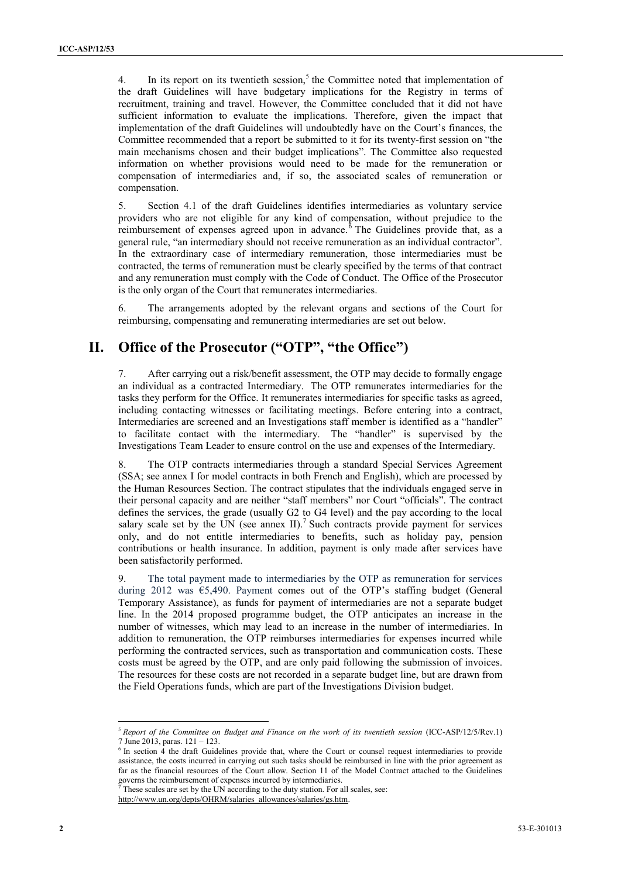4. In its report on its twentieth session,<sup>5</sup> the Committee noted that implementation of the draft Guidelines will have budgetary implications for the Registry in terms of recruitment, training and travel. However, the Committee concluded that it did not have sufficient information to evaluate the implications. Therefore, given the impact that implementation of the draft Guidelines will undoubtedly have on the Court's finances, the Committee recommended that a report be submitted to it for its twenty-first session on "the main mechanisms chosen and their budget implications". The Committee also requested information on whether provisions would need to be made for the remuneration or compensation of intermediaries and, if so, the associated scales of remuneration or compensation.

5. Section 4.1 of the draft Guidelines identifies intermediaries as voluntary service providers who are not eligible for any kind of compensation, without prejudice to the reimbursement of expenses agreed upon in advance.<sup>6</sup> The Guidelines provide that, as a general rule, "an intermediary should not receive remuneration as an individual contractor". In the extraordinary case of intermediary remuneration, those intermediaries must be contracted, the terms of remuneration must be clearly specified by the terms of that contract and any remuneration must comply with the Code of Conduct. The Office of the Prosecutor is the only organ of the Court that remunerates intermediaries.

6. The arrangements adopted by the relevant organs and sections of the Court for reimbursing, compensating and remunerating intermediaries are set out below.

### **II. Office of the Prosecutor ("OTP", "the Office")**

7. After carrying out a risk/benefit assessment, the OTP may decide to formally engage an individual as a contracted Intermediary. The OTP remunerates intermediaries for the tasks they perform for the Office. It remunerates intermediaries for specific tasks as agreed, including contacting witnesses or facilitating meetings. Before entering into a contract, Intermediaries are screened and an Investigations staff member is identified as a "handler" to facilitate contact with the intermediary. The "handler" is supervised by the Investigations Team Leader to ensure control on the use and expenses of the Intermediary.

8. The OTP contracts intermediaries through a standard Special Services Agreement (SSA; see annex I for model contracts in both French and English), which are processed by the Human Resources Section. The contract stipulates that the individuals engaged serve in their personal capacity and are neither "staff members" nor Court "officials". The contract defines the services, the grade (usually G2 to G4 level) and the pay according to the local salary scale set by the UN (see annex II).<sup>7</sup> Such contracts provide payment for services only, and do not entitle intermediaries to benefits, such as holiday pay, pension contributions or health insurance. In addition, payment is only made after services have been satisfactorily performed.

9. The total payment made to intermediaries by the OTP as remuneration for services during 2012 was  $\epsilon$ 5,490. Payment comes out of the OTP's staffing budget (General Temporary Assistance), as funds for payment of intermediaries are not a separate budget line. In the 2014 proposed programme budget, the OTP anticipates an increase in the number of witnesses, which may lead to an increase in the number of intermediaries. In addition to remuneration, the OTP reimburses intermediaries for expenses incurred while performing the contracted services, such as transportation and communication costs. These costs must be agreed by the OTP, and are only paid following the submission of invoices. The resources for these costs are not recorded in a separate budget line, but are drawn from the Field Operations funds, which are part of the Investigations Division budget.

 $\overline{a}$ 

<sup>5</sup> *Report of the Committee on Budget and Finance on the work of its twentieth session* (ICC-ASP/12/5/Rev.1) 7 June 2013, paras. 121 – 123.

<sup>&</sup>lt;sup>6</sup> In section 4 the draft Guidelines provide that, where the Court or counsel request intermediaries to provide assistance, the costs incurred in carrying out such tasks should be reimbursed in line with the prior agreement as far as the financial resources of the Court allow. Section 11 of the Model Contract attached to the Guidelines governs the reimbursement of expenses incurred by intermediaries.

These scales are set by the UN according to the duty station. For all scales, see:

[http://www.un.org/depts/OHRM/salaries\\_allowances/salaries/gs.htm.](http://www.un.org/depts/OHRM/salaries_allowances/salaries/gs.htm)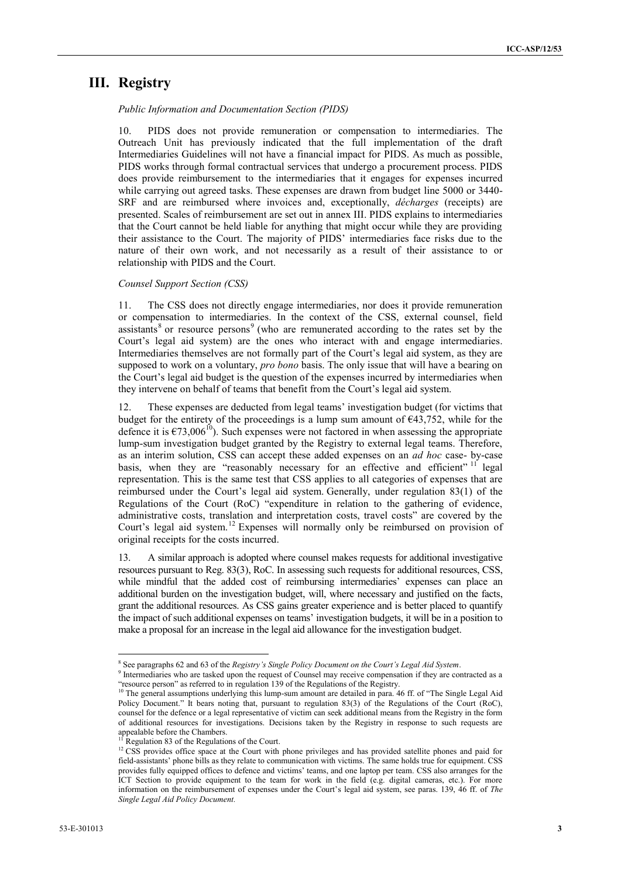### **III. Registry**

*Public Information and Documentation Section (PIDS)*

10. PIDS does not provide remuneration or compensation to intermediaries. The Outreach Unit has previously indicated that the full implementation of the draft Intermediaries Guidelines will not have a financial impact for PIDS. As much as possible, PIDS works through formal contractual services that undergo a procurement process. PIDS does provide reimbursement to the intermediaries that it engages for expenses incurred while carrying out agreed tasks. These expenses are drawn from budget line 5000 or 3440- SRF and are reimbursed where invoices and, exceptionally, *décharges* (receipts) are presented. Scales of reimbursement are set out in annex III. PIDS explains to intermediaries that the Court cannot be held liable for anything that might occur while they are providing their assistance to the Court. The majority of PIDS' intermediaries face risks due to the nature of their own work, and not necessarily as a result of their assistance to or relationship with PIDS and the Court.

#### *Counsel Support Section (CSS)*

11. The CSS does not directly engage intermediaries, nor does it provide remuneration or compensation to intermediaries. In the context of the CSS, external counsel, field assistants<sup>8</sup> or resource persons<sup>9</sup> (who are remunerated according to the rates set by the Court's legal aid system) are the ones who interact with and engage intermediaries. Intermediaries themselves are not formally part of the Court's legal aid system, as they are supposed to work on a voluntary, *pro bono* basis. The only issue that will have a bearing on the Court's legal aid budget is the question of the expenses incurred by intermediaries when they intervene on behalf of teams that benefit from the Court's legal aid system.

12. These expenses are deducted from legal teams' investigation budget (for victims that budget for the entirety of the proceedings is a lump sum amount of  $\epsilon$ 43,752, while for the defence it is  $\epsilon$ 73,006<sup>10</sup>). Such expenses were not factored in when assessing the appropriate lump-sum investigation budget granted by the Registry to external legal teams. Therefore, as an interim solution, CSS can accept these added expenses on an *ad hoc* case- by-case basis, when they are "reasonably necessary for an effective and efficient" <sup>11</sup> legal representation. This is the same test that CSS applies to all categories of expenses that are reimbursed under the Court's legal aid system. Generally, under regulation 83(1) of the Regulations of the Court (RoC) "expenditure in relation to the gathering of evidence, administrative costs, translation and interpretation costs, travel costs" are covered by the Court's legal aid system.<sup>12</sup> Expenses will normally only be reimbursed on provision of original receipts for the costs incurred.

13. A similar approach is adopted where counsel makes requests for additional investigative resources pursuant to Reg. 83(3), RoC. In assessing such requests for additional resources, CSS, while mindful that the added cost of reimbursing intermediaries' expenses can place an additional burden on the investigation budget, will, where necessary and justified on the facts, grant the additional resources. As CSS gains greater experience and is better placed to quantify the impact of such additional expenses on teams' investigation budgets, it will be in a position to make a proposal for an increase in the legal aid allowance for the investigation budget.

 $\overline{a}$ 

<sup>8</sup> See paragraphs 62 and 63 of the *[Registry's Single Policy Document on the Court's Legal Aid System](http://www.icc-cpi.int/iccdocs/asp_docs/ASP12/ICC-ASP-12-3-ENG.pdf)*.

<sup>9</sup> Intermediaries who are tasked upon the request of Counsel may receive compensation if they are contracted as a "resource person" as referred to in regulation 139 of the Regulations of the Registry.

 $10$  The general assumptions underlying this lump-sum amount are detailed in para. 46 ff. of "The Single Legal Aid [Policy Document](http://www.icc-cpi.int/iccdocs/asp_docs/ASP12/ICC-ASP-12-3-ENG.pdf)." It bears noting that, pursuant to regulation 83(3) of the Regulations of the Court (RoC), counsel for the defence or a legal representative of victim can seek additional means from the Registry in the form of additional resources for investigations. Decisions taken by the Registry in response to such requests are appealable before the Chambers.

Regulation 83 of the Regulations of the Court.

<sup>&</sup>lt;sup>12</sup> CSS provides office space at the Court with phone privileges and has provided satellite phones and paid for field-assistants' phone bills as they relate to communication with victims. The same holds true for equipment. CSS provides fully equipped offices to defence and victims' teams, and one laptop per team. CSS also arranges for the ICT Section to provide equipment to the team for work in the field (e.g. digital cameras, etc.). For more information on the reimbursement of expenses under the Court's legal aid system, see paras. 139, 46 ff. of *[The](http://www.icc-cpi.int/iccdocs/asp_docs/ASP12/ICC-ASP-12-3-ENG.pdf)  [Single Legal Aid Policy Document.](http://www.icc-cpi.int/iccdocs/asp_docs/ASP12/ICC-ASP-12-3-ENG.pdf)*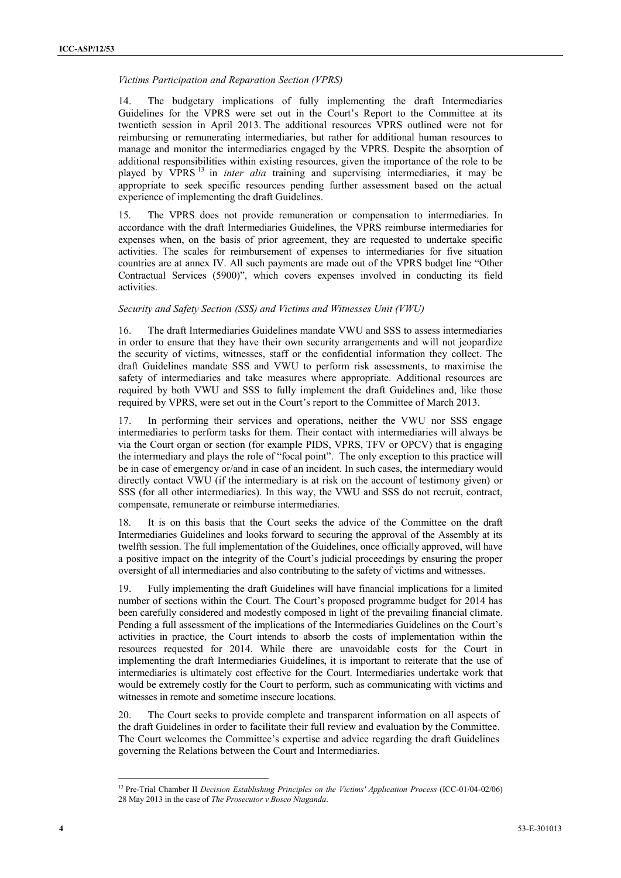#### *Victims Participation and Reparation Section (VPRS)*

14. The budgetary implications of fully implementing the draft Intermediaries Guidelines for the VPRS were set out in the Court's Report to the Committee at its twentieth session in April 2013. The additional resources VPRS outlined were not for reimbursing or remunerating intermediaries, but rather for additional human resources to manage and monitor the intermediaries engaged by the VPRS. Despite the absorption of additional responsibilities within existing resources, given the importance of the role to be played by VPRS <sup>13</sup> in *inter alia* training and supervising intermediaries, it may be appropriate to seek specific resources pending further assessment based on the actual experience of implementing the draft Guidelines.

15. The VPRS does not provide remuneration or compensation to intermediaries. In accordance with the draft Intermediaries Guidelines, the VPRS reimburse intermediaries for expenses when, on the basis of prior agreement, they are requested to undertake specific activities. The scales for reimbursement of expenses to intermediaries for five situation countries are at annex IV. All such payments are made out of the VPRS budget line "Other Contractual Services (5900)", which covers expenses involved in conducting its field activities.

#### *Security and Safety Section (SSS) and Victims and Witnesses Unit (VWU)*

16. The draft Intermediaries Guidelines mandate VWU and SSS to assess intermediaries in order to ensure that they have their own security arrangements and will not jeopardize the security of victims, witnesses, staff or the confidential information they collect. The draft Guidelines mandate SSS and VWU to perform risk assessments, to maximise the safety of intermediaries and take measures where appropriate. Additional resources are required by both VWU and SSS to fully implement the draft Guidelines and, like those required by VPRS, were set out in the Court's report to the Committee of March 2013.

17. In performing their services and operations, neither the VWU nor SSS engage intermediaries to perform tasks for them. Their contact with intermediaries will always be via the Court organ or section (for example PIDS, VPRS, TFV or OPCV) that is engaging the intermediary and plays the role of "focal point". The only exception to this practice will be in case of emergency or/and in case of an incident. In such cases, the intermediary would directly contact VWU (if the intermediary is at risk on the account of testimony given) or SSS (for all other intermediaries). In this way, the VWU and SSS do not recruit, contract, compensate, remunerate or reimburse intermediaries.

18. It is on this basis that the Court seeks the advice of the Committee on the draft Intermediaries Guidelines and looks forward to securing the approval of the Assembly at its twelfth session. The full implementation of the Guidelines, once officially approved, will have a positive impact on the integrity of the Court's judicial proceedings by ensuring the proper oversight of all intermediaries and also contributing to the safety of victims and witnesses.

19. Fully implementing the draft Guidelines will have financial implications for a limited number of sections within the Court. The Court's proposed programme budget for 2014 has been carefully considered and modestly composed in light of the prevailing financial climate. Pending a full assessment of the implications of the Intermediaries Guidelines on the Court's activities in practice, the Court intends to absorb the costs of implementation within the resources requested for 2014. While there are unavoidable costs for the Court in implementing the draft Intermediaries Guidelines, it is important to reiterate that the use of intermediaries is ultimately cost effective for the Court. Intermediaries undertake work that would be extremely costly for the Court to perform, such as communicating with victims and witnesses in remote and sometime insecure locations.

20. The Court seeks to provide complete and transparent information on all aspects of the draft Guidelines in order to facilitate their full review and evaluation by the Committee. The Court welcomes the Committee's expertise and advice regarding the draft Guidelines governing the Relations between the Court and Intermediaries.

 $\overline{a}$ 

<sup>13</sup> Pre-Trial Chamber II *Decision Establishing Principles on the Victims' Application Process* (ICC-01/04-02/06) 28 May 2013 in the case of *The Prosecutor v Bosco Ntaganda*.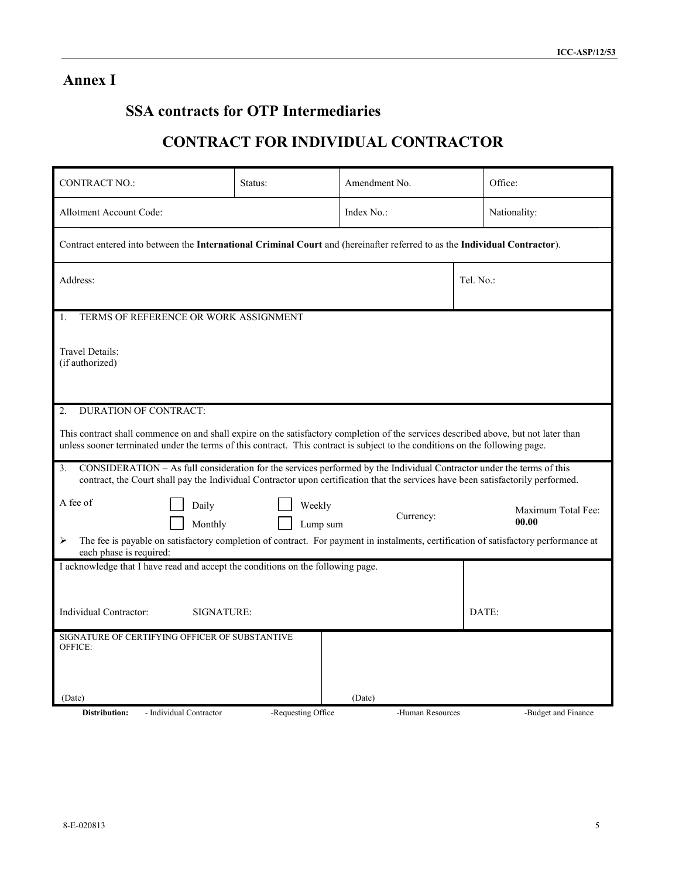## **Annex I**

## **SSA contracts for OTP Intermediaries**

## **CONTRACT FOR INDIVIDUAL CONTRACTOR**

| <b>CONTRACT NO.:</b>                                                                                                                                                                                                                                                | Status:            | Amendment No.    |  | Office:                     |  |  |  |  |  |
|---------------------------------------------------------------------------------------------------------------------------------------------------------------------------------------------------------------------------------------------------------------------|--------------------|------------------|--|-----------------------------|--|--|--|--|--|
| Allotment Account Code:                                                                                                                                                                                                                                             |                    | Index No.:       |  | Nationality:                |  |  |  |  |  |
| Contract entered into between the International Criminal Court and (hereinafter referred to as the Individual Contractor).                                                                                                                                          |                    |                  |  |                             |  |  |  |  |  |
| Address:                                                                                                                                                                                                                                                            | Tel. No.:          |                  |  |                             |  |  |  |  |  |
| TERMS OF REFERENCE OR WORK ASSIGNMENT<br>1.                                                                                                                                                                                                                         |                    |                  |  |                             |  |  |  |  |  |
| Travel Details:<br>(if authorized)                                                                                                                                                                                                                                  |                    |                  |  |                             |  |  |  |  |  |
| <b>DURATION OF CONTRACT:</b><br>2.                                                                                                                                                                                                                                  |                    |                  |  |                             |  |  |  |  |  |
| This contract shall commence on and shall expire on the satisfactory completion of the services described above, but not later than<br>unless sooner terminated under the terms of this contract. This contract is subject to the conditions on the following page. |                    |                  |  |                             |  |  |  |  |  |
| CONSIDERATION – As full consideration for the services performed by the Individual Contractor under the terms of this<br>3.<br>contract, the Court shall pay the Individual Contractor upon certification that the services have been satisfactorily performed.     |                    |                  |  |                             |  |  |  |  |  |
| A fee of<br>Daily<br>Monthly                                                                                                                                                                                                                                        | Weekly<br>Lump sum | Currency:        |  | Maximum Total Fee:<br>00.00 |  |  |  |  |  |
| The fee is payable on satisfactory completion of contract. For payment in instalments, certification of satisfactory performance at<br>⋗<br>each phase is required:                                                                                                 |                    |                  |  |                             |  |  |  |  |  |
| I acknowledge that I have read and accept the conditions on the following page.                                                                                                                                                                                     |                    |                  |  |                             |  |  |  |  |  |
|                                                                                                                                                                                                                                                                     |                    |                  |  |                             |  |  |  |  |  |
| Individual Contractor:<br>SIGNATURE:                                                                                                                                                                                                                                |                    |                  |  | DATE:                       |  |  |  |  |  |
| SIGNATURE OF CERTIFYING OFFICER OF SUBSTANTIVE<br>OFFICE:                                                                                                                                                                                                           |                    |                  |  |                             |  |  |  |  |  |
|                                                                                                                                                                                                                                                                     |                    |                  |  |                             |  |  |  |  |  |
| (Date)                                                                                                                                                                                                                                                              |                    | (Date)           |  |                             |  |  |  |  |  |
| <b>Distribution:</b><br>- Individual Contractor                                                                                                                                                                                                                     | -Requesting Office | -Human Resources |  | -Budget and Finance         |  |  |  |  |  |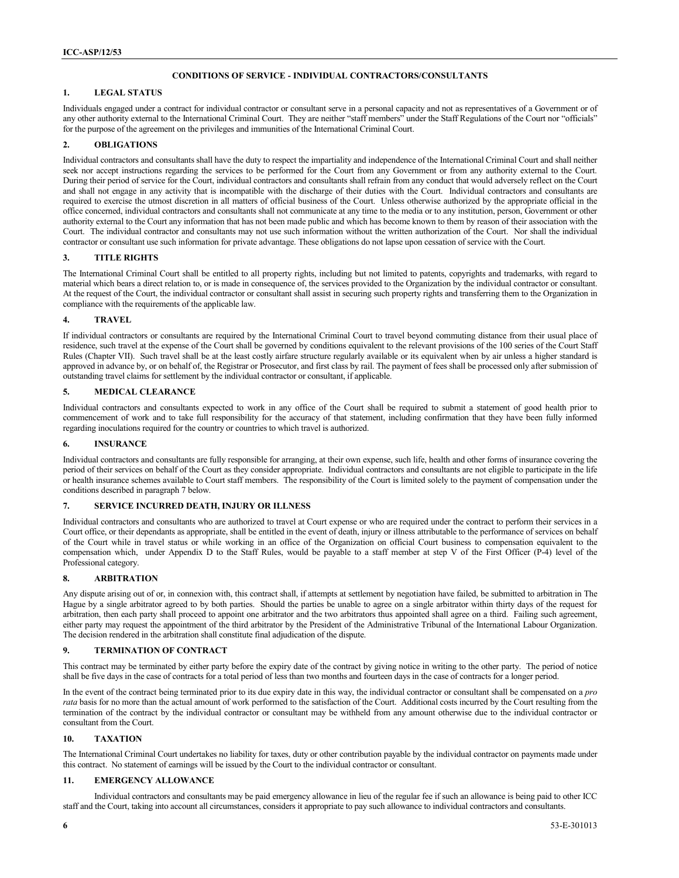#### **CONDITIONS OF SERVICE - INDIVIDUAL CONTRACTORS/CONSULTANTS**

#### **1. LEGAL STATUS**

Individuals engaged under a contract for individual contractor or consultant serve in a personal capacity and not as representatives of a Government or of any other authority external to the International Criminal Court. They are neither "staff members" under the Staff Regulations of the Court nor "officials" for the purpose of the agreement on the privileges and immunities of the International Criminal Court.

#### **2. OBLIGATIONS**

Individual contractors and consultants shall have the duty to respect the impartiality and independence of the International Criminal Court and shall neither seek nor accept instructions regarding the services to be performed for the Court from any Government or from any authority external to the Court. During their period of service for the Court, individual contractors and consultants shall refrain from any conduct that would adversely reflect on the Court and shall not engage in any activity that is incompatible with the discharge of their duties with the Court. Individual contractors and consultants are required to exercise the utmost discretion in all matters of official business of the Court. Unless otherwise authorized by the appropriate official in the office concerned, individual contractors and consultants shall not communicate at any time to the media or to any institution, person, Government or other authority external to the Court any information that has not been made public and which has become known to them by reason of their association with the Court. The individual contractor and consultants may not use such information without the written authorization of the Court. Nor shall the individual contractor or consultant use such information for private advantage. These obligations do not lapse upon cessation of service with the Court.

#### **3. TITLE RIGHTS**

The International Criminal Court shall be entitled to all property rights, including but not limited to patents, copyrights and trademarks, with regard to material which bears a direct relation to, or is made in consequence of, the services provided to the Organization by the individual contractor or consultant. At the request of the Court, the individual contractor or consultant shall assist in securing such property rights and transferring them to the Organization in compliance with the requirements of the applicable law.

#### **4. TRAVEL**

If individual contractors or consultants are required by the International Criminal Court to travel beyond commuting distance from their usual place of residence, such travel at the expense of the Court shall be governed by conditions equivalent to the relevant provisions of the 100 series of the Court Staff Rules (Chapter VII). Such travel shall be at the least costly airfare structure regularly available or its equivalent when by air unless a higher standard is approved in advance by, or on behalf of, the Registrar or Prosecutor, and first class by rail. The payment of fees shall be processed only after submission of outstanding travel claims for settlement by the individual contractor or consultant, if applicable.

#### **5. MEDICAL CLEARANCE**

Individual contractors and consultants expected to work in any office of the Court shall be required to submit a statement of good health prior to commencement of work and to take full responsibility for the accuracy of that statement, including confirmation that they have been fully informed regarding inoculations required for the country or countries to which travel is authorized.

#### **6. INSURANCE**

Individual contractors and consultants are fully responsible for arranging, at their own expense, such life, health and other forms of insurance covering the period of their services on behalf of the Court as they consider appropriate. Individual contractors and consultants are not eligible to participate in the life or health insurance schemes available to Court staff members. The responsibility of the Court is limited solely to the payment of compensation under the conditions described in paragraph 7 below.

#### **7. SERVICE INCURRED DEATH, INJURY OR ILLNESS**

Individual contractors and consultants who are authorized to travel at Court expense or who are required under the contract to perform their services in a Court office, or their dependants as appropriate, shall be entitled in the event of death, injury or illness attributable to the performance of services on behalf of the Court while in travel status or while working in an office of the Organization on official Court business to compensation equivalent to the compensation which, under Appendix D to the Staff Rules, would be payable to a staff member at step V of the First Officer (P-4) level of the Professional category.

#### **8. ARBITRATION**

Any dispute arising out of or, in connexion with, this contract shall, if attempts at settlement by negotiation have failed, be submitted to arbitration in The Hague by a single arbitrator agreed to by both parties. Should the parties be unable to agree on a single arbitrator within thirty days of the request for arbitration, then each party shall proceed to appoint one arbitrator and the two arbitrators thus appointed shall agree on a third. Failing such agreement, either party may request the appointment of the third arbitrator by the President of the Administrative Tribunal of the International Labour Organization. The decision rendered in the arbitration shall constitute final adjudication of the dispute.

#### **9. TERMINATION OF CONTRACT**

This contract may be terminated by either party before the expiry date of the contract by giving notice in writing to the other party. The period of notice shall be five days in the case of contracts for a total period of less than two months and fourteen days in the case of contracts for a longer period.

In the event of the contract being terminated prior to its due expiry date in this way, the individual contractor or consultant shall be compensated on a *pro rata* basis for no more than the actual amount of work performed to the satisfaction of the Court. Additional costs incurred by the Court resulting from the termination of the contract by the individual contractor or consultant may be withheld from any amount otherwise due to the individual contractor or consultant from the Court.

#### **10. TAXATION**

The International Criminal Court undertakes no liability for taxes, duty or other contribution payable by the individual contractor on payments made under this contract. No statement of earnings will be issued by the Court to the individual contractor or consultant.

#### **11. EMERGENCY ALLOWANCE**

Individual contractors and consultants may be paid emergency allowance in lieu of the regular fee if such an allowance is being paid to other ICC staff and the Court, taking into account all circumstances, considers it appropriate to pay such allowance to individual contractors and consultants.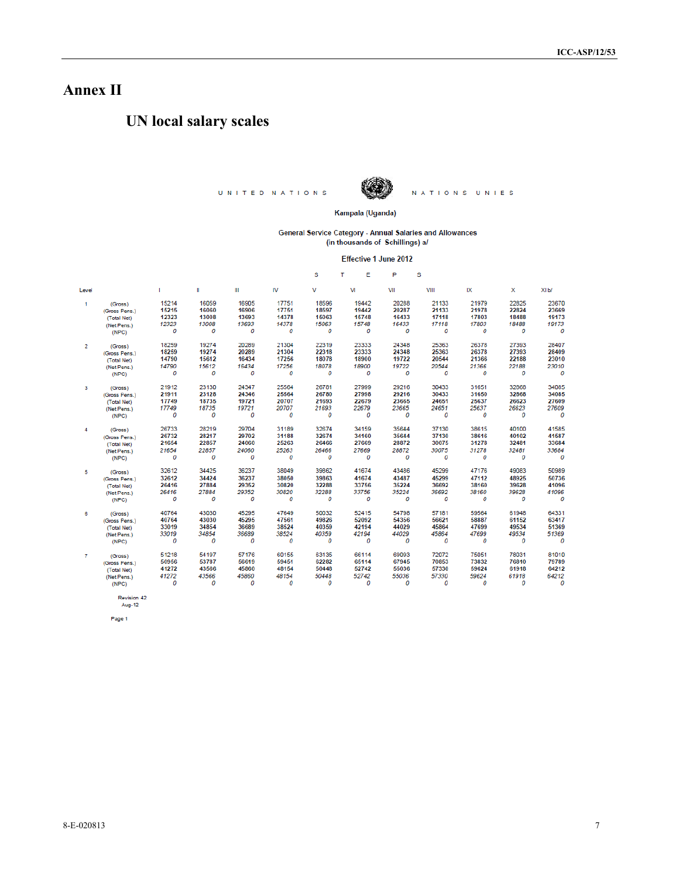## **Annex II**

## **UN local salary scales**

UNITED NATIONS



NATIONS UNIES

Kampala (Uganda)

General Service Category - Annual Salaries and Allowances<br>
(in thousands of Schillings)  $a/$ 

Effective 1 June 2012

|                |               |       |       |       |       | s     | т<br>E | P     | s     |       |       |       |
|----------------|---------------|-------|-------|-------|-------|-------|--------|-------|-------|-------|-------|-------|
| Level          |               | п     | Ш     | Ш     | IV    | v     | VI     | VII   | VIII  | IX    | x     | XI b/ |
| $\mathbf{1}$   | (Gross)       | 15214 | 16059 | 16905 | 17751 | 18596 | 19442  | 20288 | 21133 | 21979 | 22825 | 23670 |
|                | (Gross Pens.) | 15215 | 16060 | 16906 | 17751 | 18597 | 19442  | 20287 | 21133 | 21978 | 22824 | 23669 |
|                | (Total Net)   | 12323 | 13008 | 13693 | 14378 | 15063 | 15748  | 16433 | 17118 | 17803 | 18488 | 19173 |
|                | (Net Pens.)   | 12323 | 13008 | 13693 | 14378 | 15063 | 15748  | 16433 | 17118 | 17803 | 18488 | 19173 |
|                | (NPC)         | 0     | 0     | 0     | 0     | 0     | 0      | 0     | 0     | 0     | 0     | 0     |
| $\overline{2}$ | (Gross)       | 18259 | 19274 | 20289 | 21304 | 22319 | 23333  | 24348 | 25363 | 26378 | 27393 | 28407 |
|                | (Gross Pens.) | 18259 | 19274 | 20289 | 21304 | 22318 | 23333  | 24348 | 25363 | 26378 | 27393 | 28409 |
|                | (Total Net)   | 14790 | 15612 | 16434 | 17256 | 18078 | 18900  | 19722 | 20544 | 21366 | 22188 | 23010 |
|                | (Net Pens.)   | 14790 | 15612 | 16434 | 17256 | 18078 | 18900  | 19722 | 20544 | 21366 | 22188 | 23010 |
|                | (NPC)         | 0     | 0     | 0     | 0     | 0     | 0      | 0     | 0     | 0     | 0     | 0     |
| 3              | (Gross)       | 21912 | 23130 | 24347 | 25564 | 26781 | 27999  | 29216 | 30433 | 31651 | 32868 | 34085 |
|                | (Gross Pens.) | 21911 | 23128 | 24346 | 25564 | 26780 | 27998  | 29216 | 30433 | 31650 | 32868 | 34085 |
|                | (Total Net)   | 17749 | 18735 | 19721 | 20707 | 21693 | 22679  | 23665 | 24651 | 25637 | 26623 | 27609 |
|                | (Net Pens.)   | 17749 | 18735 | 19721 | 20707 | 21693 | 22679  | 23665 | 24651 | 25637 | 26623 | 27609 |
|                | (NPC)         | 0     | 0     | 0     | 0     | 0     | 0      | 0     | 0     | 0     | 0     | 0     |
| 4              | (Gross)       | 26733 | 28219 | 29704 | 31189 | 32674 | 34159  | 35644 | 37130 | 38615 | 40100 | 41585 |
|                | (Gross Pens.) | 26732 | 28217 | 29702 | 31188 | 32674 | 34160  | 35644 | 37130 | 38616 | 40102 | 41587 |
|                | (Total Net)   | 21654 | 22857 | 24060 | 25263 | 26466 | 27669  | 28872 | 30075 | 31278 | 32481 | 33684 |
|                | (Net Pens.)   | 21654 | 22857 | 24060 | 25263 | 26466 | 27669  | 28872 | 30075 | 31278 | 32481 | 33684 |
|                | (NPC)         | 0     | 0     | 0     | 0     | 0     | 0      | 0     | 0     | 0     | 0     | 0     |
| 5              | (Gross)       | 32612 | 34425 | 36237 | 38049 | 39862 | 41674  | 43486 | 45299 | 47176 | 49083 | 50989 |
|                | (Gross Pens.) | 32612 | 34424 | 36237 | 38050 | 39863 | 41674  | 43487 | 45299 | 47112 | 48925 | 50736 |
|                | (Total Net)   | 26416 | 27884 | 29352 | 30820 | 32288 | 33756  | 35224 | 36692 | 38160 | 39628 | 41096 |
|                | (Net Pens.)   | 26416 | 27884 | 29352 | 30820 | 32288 | 33756  | 35224 | 36692 | 38160 | 39628 | 41096 |
|                | (NPC)         | 0     | 0     | 0     | 0     | 0     | 0      | 0     | 0     | 0     | 0     | 0     |
| 6              | (Gross)       | 40764 | 43030 | 45295 | 47649 | 50032 | 52415  | 54798 | 57181 | 59564 | 61948 | 64331 |
|                | (Gross Pens.) | 40764 | 43030 | 45295 | 47561 | 49826 | 52092  | 54356 | 56621 | 58887 | 61152 | 63417 |
|                | (Total Net)   | 33019 | 34854 | 36689 | 38524 | 40359 | 42194  | 44029 | 45864 | 47699 | 49534 | 51369 |
|                | (Net Pens.)   | 33019 | 34854 | 36689 | 38524 | 40359 | 42194  | 44029 | 45864 | 47699 | 49534 | 51369 |
|                | (NPC)         | 0     | 0     | 0     | 0     | 0     | 0      | 0     | 0     | 0     | 0     | 0     |
| $\overline{7}$ | (Gross)       | 51218 | 54197 | 57176 | 60155 | 63135 | 66114  | 69093 | 72072 | 75051 | 78031 | 81010 |
|                | (Gross Pens.) | 50956 | 53787 | 56619 | 59451 | 62282 | 65114  | 67945 | 70853 | 73832 | 76810 | 79789 |
|                | (Total Net)   | 41272 | 43566 | 45860 | 48154 | 50448 | 52742  | 55036 | 57330 | 59624 | 61918 | 64212 |
|                | (Net Pens.)   | 41272 | 43566 | 45860 | 48154 | 50448 | 52742  | 55036 | 57330 | 59624 | 61918 | 64212 |
|                | (NPC)         | 0     | 0     | Ω     | 0     | Ω     | Ω      | 0     | 0     | O     | 0     | 0     |

Revision 42<br>Aug-12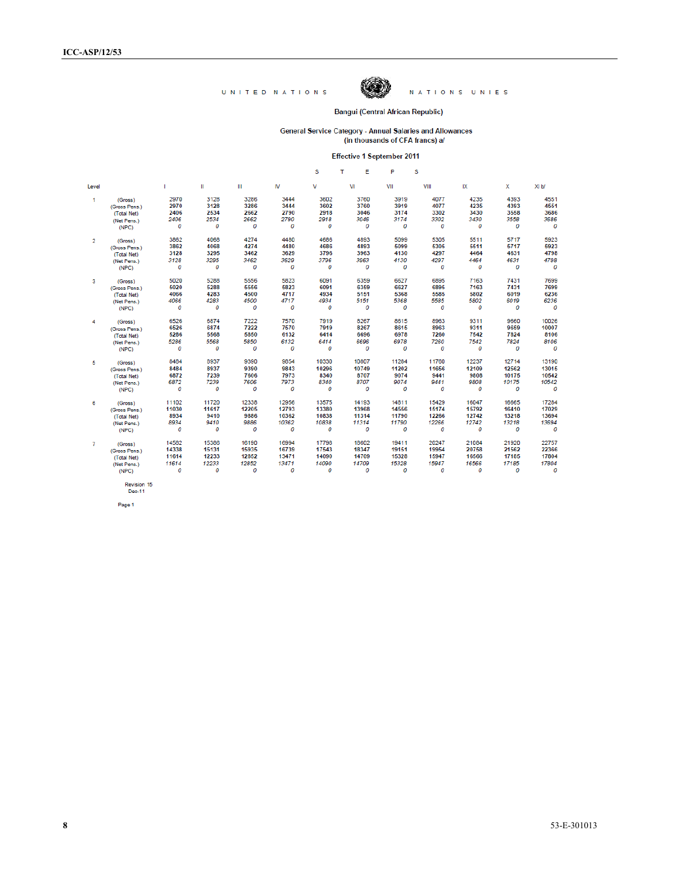

NATIONS UNIES

#### **Bangui (Central African Republic)**

# General Service Category - Annual Salaries and Allowances<br>(in thousands of CFA francs) a/

#### Effective 1 September 2011

|                |               |       |              |       |       | s     | т<br>Е | P     | s     |       |       |                 |
|----------------|---------------|-------|--------------|-------|-------|-------|--------|-------|-------|-------|-------|-----------------|
| Level          |               | ٠     | $\mathbf{H}$ | Ш     | IV    | v     | VI     | VII   | VIII  | IX    | x     | XI <sub>b</sub> |
| 1              | (Gross)       | 2970  | 3128         | 3286  | 3444  | 3602  | 3760   | 3919  | 4077  | 4235  | 4393  | 4551            |
|                | (Gross Pens.) | 2970  | 3128         | 3286  | 3444  | 3602  | 3760   | 3919  | 4077  | 4235  | 4393  | 4551            |
|                | (Total Net)   | 2406  | 2534         | 2662  | 2790  | 2918  | 3046   | 3174  | 3302  | 3430  | 3558  | 3686            |
|                | (Net Pens.)   | 2406  | 2534         | 2662  | 2790  | 2918  | 3046   | 3174  | 3302  | 3430  | 3558  | 3686            |
|                | (NPC)         | 0     | 0            | 0     | 0     | 0     | 0      | 0     | 0     | 0     | 0     | 0               |
|                |               | 3862  | 4068         | 4274  | 4480  | 4686  | 4893   | 5099  | 5305  | 5511  | 5717  | 5923            |
| $\overline{2}$ | (Gross)       | 3862  | 4068         | 4274  | 4480  | 4686  | 4893   | 5099  | 5305  |       | 5717  | 5923            |
|                | (Gross Pens.) |       |              |       |       | 3796  | 3963   |       | 4297  | 5511  |       | 4798            |
|                | (Total Net)   | 3128  | 3295         | 3462  | 3629  |       |        | 4130  |       | 4464  | 4631  |                 |
|                | (Net Pens.)   | 3128  | 3295         | 3462  | 3629  | 3796  | 3963   | 4130  | 4297  | 4464  | 4631  | 4798            |
|                | (NPC)         | 0     | 0            | 0     | 0     | 0     | 0      | 0     | 0     | 0     | 0     | 0               |
| 3              | (Gross)       | 5020  | 5288         | 5556  | 5823  | 6091  | 6359   | 6627  | 6895  | 7163  | 7431  | 7699            |
|                | (Gross Pens.) | 5020  | 5288         | 5556  | 5823  | 6091  | 6359   | 6627  | 6895  | 7163  | 7431  | 7699            |
|                | (Total Net)   | 4066  | 4283         | 4500  | 4717  | 4934  | 5151   | 5368  | 5585  | 5802  | 6019  | 6236            |
|                | (Net Pens.)   | 4066  | 4283         | 4500  | 4717  | 4934  | 5151   | 5368  | 5585  | 5802  | 6019  | 6236            |
|                | (NPC)         | 0     | 0            | 0     | 0     | 0     | 0      | 0     | 0     | 0     | 0     | 0               |
|                |               | 6526  | 6874         | 7222  | 7570  | 7919  | 8267   | 8615  | 8963  | 9311  | 9660  | 10026           |
| 4              | (Gross)       | 6526  | 6874         | 7222  | 7570  | 7919  | 8267   | 8615  | 8963  | 9311  | 9659  | 10007           |
|                | (Gross Pens.) | 5286  | 5568         | 5850  | 6132  | 6414  | 6696   | 6978  | 7260  | 7542  | 7824  | 8106            |
|                | (Total Net)   |       |              |       |       |       |        |       |       |       |       |                 |
|                | (Net Pens.)   | 5286  | 5568         | 5850  | 6132  | 6414  | 6696   | 6978  | 7260  | 7542  | 7824  | 8106            |
|                | (NPC)         | 0     | 0            | 0     | 0     | 0     | 0      | 0     | 0     | 0     | 0     | 0               |
| 5              | (Gross)       | 8484  | 8937         | 9390  | 9854  | 10330 | 10807  | 11284 | 11760 | 12237 | 12714 | 13190           |
|                | (Gross Pens.) | 8484  | 8937         | 9390  | 9843  | 10296 | 10749  | 11202 | 11656 | 12109 | 12562 | 13015           |
|                | (Total Net)   | 6872  | 7239         | 7606  | 7973  | 8340  | 8707   | 9074  | 9441  | 9808  | 10175 | 10542           |
|                | (Net Pens.)   | 6872  | 7239         | 7606  | 7973  | 8340  | 8707   | 9074  | 9441  | 9808  | 10175 | 10542           |
|                | (NPC)         | 0     | 0            | 0     | 0     | 0     | 0      | 0     | 0     | 0     | 0     | 0               |
| 6              | (Gross)       | 11102 | 11720        | 12338 | 12956 | 13575 | 14193  | 14811 | 15429 | 16047 | 16665 | 17284           |
|                | (Gross Pens.) | 11030 | 11617        | 12205 | 12793 | 13380 | 13968  | 14556 | 15174 | 15792 | 16410 | 17029           |
|                | (Total Net)   | 8934  | 9410         | 9886  | 10362 | 10838 | 11314  | 11790 | 12266 | 12742 | 13218 | 13694           |
|                | (Net Pens.)   | 8934  | 9410         | 9886  | 10362 | 10838 | 11314  | 11790 | 12266 | 12742 | 13218 | 13694           |
|                | (NPC)         | 0     | 0            | 0     | 0     | 0     | 0      | 0     | 0     | 0     | 0     | 0               |
|                |               |       | 15386        | 16190 | 16994 |       | 18602  | 19411 | 20247 |       |       | 22757           |
| 7              | (Gross)       | 14582 |              |       |       | 17798 |        |       |       | 21084 | 21920 |                 |
|                | (Gross Pens.) | 14338 | 15131        | 15935 | 16739 | 17543 | 18347  | 19151 | 19954 | 20758 | 21562 | 22366           |
|                | (Total Net)   | 11614 | 12233        | 12852 | 13471 | 14090 | 14709  | 15328 | 15947 | 16566 | 17185 | 17804           |
|                | (Net Pens.)   | 11614 | 12233        | 12852 | 13471 | 14090 | 14709  | 15328 | 15947 | 16566 | 17185 | 17804           |
|                | (NPC)         | 0     | 0            | 0     | 0     | 0     | 0      | 0     | 0     | 0     | 0     | 0               |
|                |               |       |              |       |       |       |        |       |       |       |       |                 |

Revision 15<br>Dec-11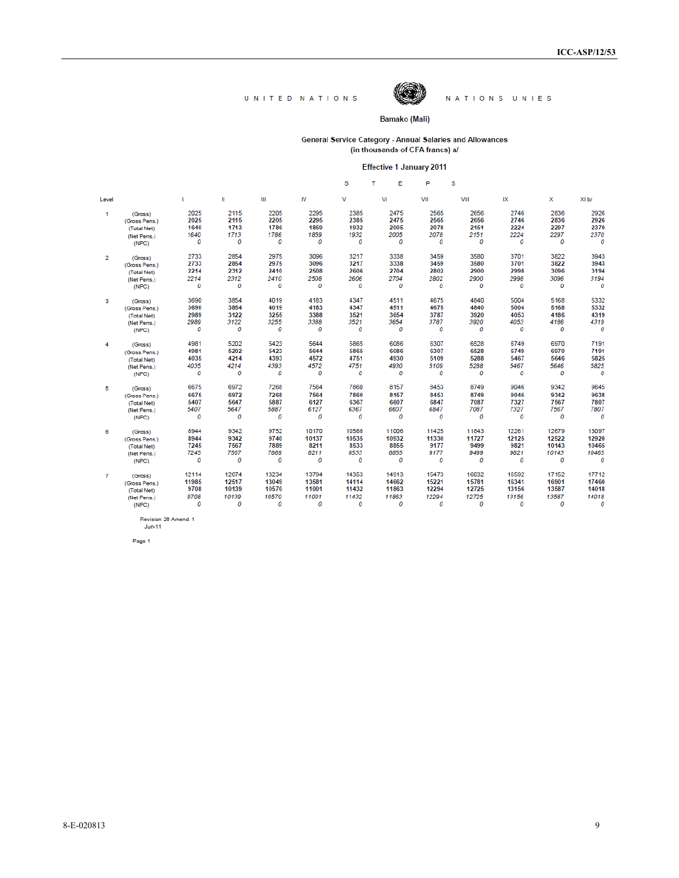

#### NATIONS UNIES

#### Bamako (Mali)

General Service Category - Annual Salaries and Allowances<br>(in thousands of CFA francs) a/

#### **Effective 1 January 2011**

|                |               |       |       |       |       | s     | т<br>Е | P     | s     |       |       |       |
|----------------|---------------|-------|-------|-------|-------|-------|--------|-------|-------|-------|-------|-------|
| Level          |               | п     | Ш     | Ш     | IV    | v     | VI     | VII   | VIII  | IX    | x     | XI b/ |
| 1              | (Gross)       | 2025  | 2115  | 2205  | 2295  | 2385  | 2475   | 2565  | 2656  | 2746  | 2836  | 2926  |
|                | (Gross Pens.) | 2025  | 2115  | 2205  | 2295  | 2385  | 2475   | 2565  | 2656  | 2746  | 2836  | 2926  |
|                | (Total Net)   | 1640  | 1713  | 1786  | 1859  | 1932  | 2005   | 2078  | 2151  | 2224  | 2297  | 2370  |
|                | (Net Pens.)   | 1640  | 1713  | 1786  | 1859  | 1932  | 2005   | 2078  | 2151  | 2224  | 2297  | 2370  |
|                | (NPC)         | 0     | 0     | 0     | 0     | 0     | 0      | 0     | 0     | 0     | 0     | 0     |
| $\overline{2}$ | (Gross)       | 2733  | 2854  | 2975  | 3096  | 3217  | 3338   | 3459  | 3580  | 3701  | 3822  | 3943  |
|                | (Gross Pens.) | 2733  | 2854  | 2975  | 3096  | 3217  | 3338   | 3459  | 3580  | 3701  | 3822  | 3943  |
|                | (Total Net)   | 2214  | 2312  | 2410  | 2508  | 2606  | 2704   | 2802  | 2900  | 2998  | 3096  | 3194  |
|                | (Net Pens.)   | 2214  | 2312  | 2410  | 2508  | 2606  | 2704   | 2802  | 2900  | 2998  | 3096  | 3194  |
|                | (NPC)         | 0     | 0     | 0     | 0     | 0     | 0      | 0     | 0     | 0     | 0     | 0     |
| 3              | (Gross)       | 3690  | 3854  | 4019  | 4183  | 4347  | 4511   | 4675  | 4840  | 5004  | 5168  | 5332  |
|                | (Gross Pens.) | 3690  | 3854  | 4019  | 4183  | 4347  | 4511   | 4675  | 4840  | 5004  | 5168  | 5332  |
|                | (Total Net)   | 2989  | 3122  | 3255  | 3388  | 3521  | 3654   | 3787  | 3920  | 4053  | 4186  | 4319  |
|                | (Net Pens.)   | 2989  | 3122  | 3255  | 3388  | 3521  | 3654   | 3787  | 3920  | 4053  | 4186  | 4319  |
|                | (NPC)         | 0     | 0     | 0     | 0     | 0     | 0      | 0     | 0     | 0     | 0     | 0     |
| 4              | (Gross)       | 4981  | 5202  | 5423  | 5644  | 5865  | 6086   | 6307  | 6528  | 6749  | 6970  | 7191  |
|                | (Gross Pens.) | 4981  | 5202  | 5423  | 5644  | 5865  | 6086   | 6307  | 6528  | 6749  | 6970  | 7191  |
|                | (Total Net)   | 4035  | 4214  | 4393  | 4572  | 4751  | 4930   | 5109  | 5288  | 5467  | 5646  | 5825  |
|                | (Net Pens.)   | 4035  | 4214  | 4393  | 4572  | 4751  | 4930   | 5109  | 5288  | 5467  | 5646  | 5825  |
|                | (NPC)         | 0     | 0     | 0     | 0     | 0     | 0      | 0     | 0     | 0     | 0     | 0     |
| 5              | (Gross)       | 6675  | 6972  | 7268  | 7564  | 7860  | 8157   | 8453  | 8749  | 9046  | 9342  | 9645  |
|                | (Gross Pens.) | 6675  | 6972  | 7268  | 7564  | 7860  | 8157   | 8453  | 8749  | 9046  | 9342  | 9638  |
|                | (Total Net)   | 5407  | 5647  | 5887  | 6127  | 6367  | 6607   | 6847  | 7087  | 7327  | 7567  | 7807  |
|                | (Net Pens.)   | 5407  | 5647  | 5887  | 6127  | 6367  | 6607   | 6847  | 7087  | 7327  | 7567  | 7807  |
|                | (NPC)         | 0     | 0     | 0     | 0     | 0     | 0      | 0     | 0     | 0     | 0     | 0     |
| 6              | (Gross)       | 8944  | 9342  | 9752  | 10170 | 10588 | 11006  | 11425 | 11843 | 12261 | 12679 | 13097 |
|                | (Gross Pens.) | 8944  | 9342  | 9740  | 10137 | 10535 | 10932  | 11330 | 11727 | 12125 | 12522 | 12920 |
|                | (Total Net)   | 7245  | 7567  | 7889  | 8211  | 8533  | 8855   | 9177  | 9499  | 9821  | 10143 | 10465 |
|                | (Net Pens.)   | 7245  | 7567  | 7889  | 8211  | 8533  | 8855   | 9177  | 9499  | 9821  | 10143 | 10465 |
|                | (NPC)         | 0     | 0     | 0     | 0     | 0     | 0      | 0     | 0     | 0     | 0     | 0     |
| $\overline{7}$ | (Gross)       | 12114 | 12674 | 13234 | 13794 | 14353 | 14913  | 15473 | 16032 | 16592 | 17152 | 17712 |
|                | (Gross Pens.) | 11985 | 12517 | 13049 | 13581 | 14114 | 14662  | 15221 | 15781 | 16341 | 16901 | 17460 |
|                | (Total Net)   | 9708  | 10139 | 10570 | 11001 | 11432 | 11863  | 12294 | 12725 | 13156 | 13587 | 14018 |
|                | (Net Pens.)   | 9708  | 10139 | 10570 | 11001 | 11432 | 11863  | 12294 | 12725 | 13156 | 13587 | 14018 |
|                | (NPC)         | 0     | 0     | 0     | 0     | 0     | 0      | 0     | 0     | 0     | 0     | 0     |

Revision 26 Amend. 1<br>Jun-11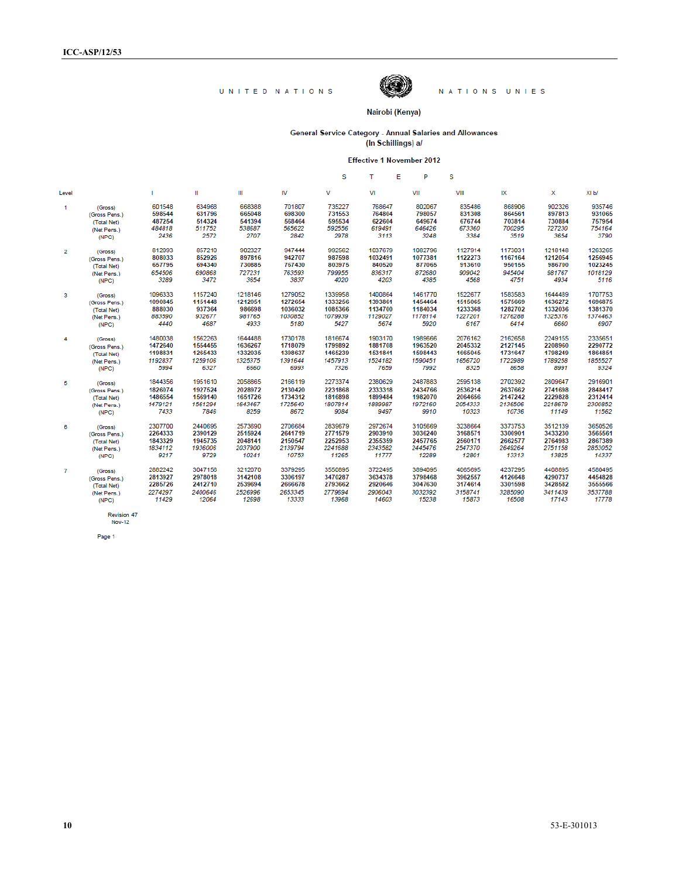

NATIONS UNIES

#### Nairobi (Kenya)

General Service Category - Annual Salaries and Allowances<br>(In Schillings) a/

Effective 1 November 2012

|                |               |         |         |         |         | s       | т       | Ε<br>P  | s       |         |         |         |
|----------------|---------------|---------|---------|---------|---------|---------|---------|---------|---------|---------|---------|---------|
| Level          |               | T.      | Ш       | Ш       | IV      | v       | VI      | VII     | VIII    | ΙX      | x       | XI b/   |
| $\mathbf{1}$   | (Gross)       | 601548  | 634968  | 668388  | 701807  | 735227  | 768647  | 802067  | 835486  | 868906  | 902326  | 935746  |
|                | (Gross Pens.) | 598544  | 631796  | 665048  | 698300  | 731553  | 764804  | 798057  | 831308  | 864561  | 897813  | 931065  |
|                | (Total Net)   | 487254  | 514324  | 541394  | 568464  | 595534  | 622604  | 649674  | 676744  | 703814  | 730884  | 757954  |
|                | (Net Pens.)   | 484818  | 511752  | 538687  | 565622  | 592556  | 619491  | 646426  | 673360  | 700295  | 727230  | 754164  |
|                | (NPC)         | 2436    | 2572    | 2707    | 2842    | 2978    | 3113    | 3248    | 3384    | 3519    | 3654    | 3790    |
| $\overline{2}$ | (Gross)       | 812093  | 857210  | 902327  | 947444  | 992562  | 1037679 | 1082796 | 1127914 | 1173031 | 1218148 | 1263265 |
|                | (Gross Pens.) | 808033  | 852926  | 897816  | 942707  | 987598  | 1032491 | 1077381 | 1122273 | 1167164 | 1212054 | 1256945 |
|                | (Total Net)   | 657795  | 694340  | 730885  | 767430  | 803975  | 840520  | 877065  | 913610  | 950155  | 986700  | 1023245 |
|                | (Net Pens.)   | 654506  | 690868  | 727231  | 763593  | 799955  | 836317  | 872680  | 909042  | 945404  | 981767  | 1018129 |
|                | (NPC)         | 3289    | 3472    | 3654    | 3837    | 4020    | 4203    | 4385    | 4568    | 4751    | 4934    | 5116    |
| 3              | (Gross)       | 1096333 | 1157240 | 1218146 | 1279052 | 1339958 | 1400864 | 1461770 | 1522677 | 1583583 | 1644489 | 1707753 |
|                | (Gross Pens.) | 1090845 | 1151448 | 1212051 | 1272654 | 1333256 | 1393861 | 1454464 | 1515065 | 1575669 | 1636272 | 1696875 |
|                | (Total Net)   | 888030  | 937364  | 986698  | 1036032 | 1085366 | 1134700 | 1184034 | 1233368 | 1282702 | 1332036 | 1381370 |
|                | (Net Pens.)   | 883590  | 932677  | 981765  | 1030852 | 1079939 | 1129027 | 1178114 | 1227201 | 1276288 | 1325376 | 1374463 |
|                | (NPC)         | 4440    | 4687    | 4933    | 5180    | 5427    | 5674    | 5920    | 6167    | 6414    | 6660    | 6907    |
| $\overline{4}$ | (Gross)       | 1480038 | 1562263 | 1644488 | 1730178 | 1816674 | 1903170 | 1989666 | 2076162 | 2162658 | 2249155 | 2335651 |
|                | (Gross Pens.) | 1472640 | 1554455 | 1636267 | 1718079 | 1799892 | 1881708 | 1963520 | 2045332 | 2127145 | 2208960 | 2290772 |
|                | (Total Net)   | 1198831 | 1265433 | 1332035 | 1398637 | 1465239 | 1531841 | 1598443 | 1665045 | 1731647 | 1798249 | 1864851 |
|                | (Net Pens.)   | 1192837 | 1259106 | 1325375 | 1391644 | 1457913 | 1524182 | 1590451 | 1656720 | 1722989 | 1789258 | 1855527 |
|                | (NPC)         | 5994    | 6327    | 6660    | 6993    | 7326    | 7659    | 7992    | 8325    | 8658    | 8991    | 9324    |
| 5              | (Gross)       | 1844356 | 1951610 | 2058865 | 2166119 | 2273374 | 2380629 | 2487883 | 2595138 | 2702392 | 2809647 | 2916901 |
|                | (Gross Pens.) | 1826074 | 1927524 | 2028972 | 2130420 | 2231868 | 2333318 | 2434766 | 2536214 | 2637662 | 2741698 | 2848417 |
|                | (Total Net)   | 1486554 | 1569140 | 1651726 | 1734312 | 1816898 | 1899484 | 1982070 | 2064656 | 2147242 | 2229828 | 2312414 |
|                | (Net Pens.)   | 1479121 | 1561294 | 1643467 | 1725640 | 1807814 | 1889987 | 1972160 | 2054333 | 2136506 | 2218679 | 2300852 |
|                | (NPC)         | 7433    | 7846    | 8259    | 8672    | 9084    | 9497    | 9910    | 10323   | 10736   | 11149   | 11562   |
| 6              | (Gross)       | 2307700 | 2440695 | 2573690 | 2706684 | 2839679 | 2972674 | 3105669 | 3238664 | 3373753 | 3512139 | 3650526 |
|                | (Gross Pens.) | 2264333 | 2390129 | 2515924 | 2641719 | 2771579 | 2903910 | 3036240 | 3168571 | 3300901 | 3433230 | 3565561 |
|                | (Total Net)   | 1843329 | 1945735 | 2048141 | 2150547 | 2252953 | 2355359 | 2457765 | 2560171 | 2662577 | 2764983 | 2867389 |
|                | (Net Pens.)   | 1834112 | 1936006 | 2037900 | 2139794 | 2241688 | 2343582 | 2445476 | 2547370 | 2649264 | 2751158 | 2853052 |
|                | (NPC)         | 9217    | 9729    | 10241   | 10753   | 11265   | 11777   | 12289   | 12801   | 13313   | 13825   | 14337   |
| $\overline{7}$ | (Gross)       | 2882242 | 3047156 | 3212070 | 3379295 | 3550895 | 3722495 | 3894095 | 4065695 | 4237295 | 4408895 | 4580495 |
|                | (Gross Pens.) | 2813927 | 2978018 | 3142108 | 3306197 | 3470287 | 3634378 | 3798468 | 3962557 | 4126648 | 4290737 | 4454828 |
|                | (Total Net)   | 2285726 | 2412710 | 2539694 | 2666678 | 2793662 | 2920646 | 3047630 | 3174614 | 3301598 | 3428582 | 3555566 |
|                | (Net Pens.)   | 2274297 | 2400646 | 2526996 | 2653345 | 2779694 | 2906043 | 3032392 | 3158741 | 3285090 | 3411439 | 3537788 |
|                | (NPC)         | 11429   | 12064   | 12698   | 13333   | 13968   | 14603   | 15238   | 15873   | 16508   | 17143   | 17778   |
|                |               |         |         |         |         |         |         |         |         |         |         |         |

Page 1

Revision 47<br>Nov-12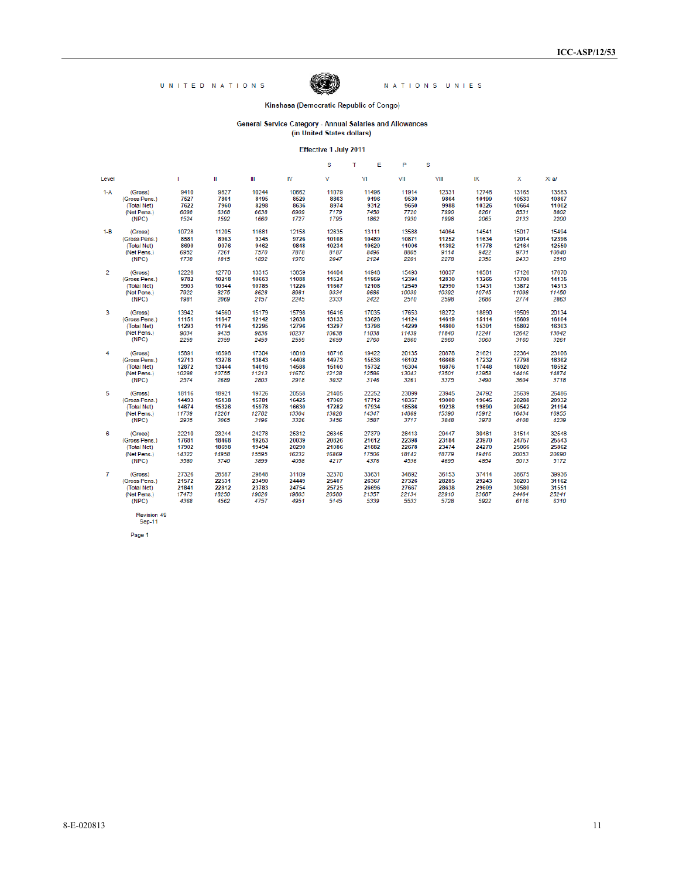

NATIONS UNIES

#### Kinshasa (Democratic Republic of Congo)

# General Service Category - Annual Salaries and Allowances<br>(in United States dollars)

Effective 1 July 2011

|         |               |              |       |       |       | s     | т     | Е<br>P | s     |       |       |       |
|---------|---------------|--------------|-------|-------|-------|-------|-------|--------|-------|-------|-------|-------|
| Level   |               | $\mathbf{I}$ | Ш     | Ш     | M     | v     | VI    | VII    | VIII  | IX    | x     | XI a/ |
| $1-A$   | (Gross)       | 9410         | 9827  | 10244 | 10662 | 11079 | 11496 | 11914  | 12331 | 12748 | 13165 | 13583 |
|         | (Gross Pens.) | 7527         | 7861  | 8195  | 8529  | 8863  | 9196  | 9530   | 9864  | 10199 | 10533 | 10867 |
|         | (Total Net)   | 7622         | 7960  | 8298  | 8636  | 8974  | 9312  | 9650   | 9988  | 10326 | 10664 | 11002 |
|         | (Net Pens.)   | 6098         | 6368  | 6638  | 6909  | 7179  | 7450  | 7720   | 7990  | 8261  | 8531  | 8802  |
|         | (NPC)         | 1524         | 1592  | 1660  | 1727  | 1795  | 1862  | 1930   | 1998  | 2065  | 2133  | 2200  |
| $1 - B$ | (Gross)       | 10728        | 11205 | 11681 | 12158 | 12635 | 13111 | 13588  | 14064 | 14541 | 15017 | 15494 |
|         | (Gross Pens.) | 8581         | 8963  | 9345  | 9726  | 10108 | 10489 | 10871  | 11252 | 11634 | 12014 | 12396 |
|         | (Total Net)   | 8690         | 9076  | 9462  | 9848  | 10234 | 10620 | 11006  | 11392 | 11778 | 12164 | 12550 |
|         | (Net Pens.)   | 6952         | 7261  | 7570  | 7878  | 8187  | 8496  | 8805   | 9114  | 9422  | 9731  | 10040 |
|         | (NPC)         | 1738         | 1815  | 1892  | 1970  | 2047  | 2124  | 2201   | 2278  | 2356  | 2433  | 2510  |
| 2       | (Gross)       | 12226        | 12770 | 13315 | 13859 | 14404 | 14948 | 15493  | 16037 | 16581 | 17126 | 17670 |
|         | (Gross Pens.) | 9782         | 10218 | 10653 | 11088 | 11524 | 11959 | 12394  | 12830 | 13265 | 13700 | 14135 |
|         | (Total Net)   | 9903         | 10344 | 10785 | 11226 | 11667 | 12108 | 12549  | 12990 | 13431 | 13872 | 14313 |
|         | (Net Pens.)   | 7922         | 8275  | 8628  | 8981  | 9334  | 9686  | 10039  | 10392 | 10745 | 11098 | 11450 |
|         | (NPC)         | 1981         | 2069  | 2157  | 2245  | 2333  | 2422  | 2510   | 2598  | 2686  | 2774  | 2863  |
| 3       | (Gross)       | 13942        | 14560 | 15179 | 15798 | 16416 | 17035 | 17653  | 18272 | 18890 | 19509 | 20134 |
|         | (Gross Pens.) | 11151        | 11647 | 12142 | 12638 | 13133 | 13628 | 14124  | 14619 | 15114 | 15609 | 16104 |
|         | (Total Net)   | 11293        | 11794 | 12295 | 12796 | 13297 | 13798 | 14299  | 14800 | 15301 | 15802 | 16303 |
|         | (Net Pens.)   | 9034         | 9435  | 9836  | 10237 | 10638 | 11038 | 11439  | 11840 | 12241 | 12642 | 13042 |
|         | (NPC)         | 2259         | 2359  | 2459  | 2559  | 2659  | 2760  | 2860   | 2960  | 3060  | 3160  | 3261  |
| 4       | (Gross)       | 15891        | 16598 | 17304 | 18010 | 18716 | 19422 | 20135  | 20878 | 21621 | 22364 | 23106 |
|         | (Gross Pens.) | 12713        | 13278 | 13843 | 14408 | 14973 | 15538 | 16102  | 16668 | 17232 | 17798 | 18362 |
|         | (Total Net)   | 12872        | 13444 | 14016 | 14588 | 15160 | 15732 | 16304  | 16876 | 17448 | 18020 | 18592 |
|         | (Net Pens.)   | 10298        | 10755 | 11213 | 11670 | 12128 | 12586 | 13043  | 13501 | 13958 | 14416 | 14874 |
|         | (NPC)         | 2574         | 2689  | 2803  | 2918  | 3032  | 3146  | 3261   | 3375  | 3490  | 3604  | 3718  |
| 5       | (Gross)       | 18116        | 18921 | 19726 | 20558 | 21405 | 22252 | 23099  | 23945 | 24792 | 25639 | 26486 |
|         | (Gross Pens.) | 14493        | 15138 | 15781 | 16425 | 17069 | 17712 | 18357  | 19000 | 19645 | 20288 | 20932 |
|         | (Total Net)   | 14674        | 15326 | 15978 | 16630 | 17282 | 17934 | 18586  | 19238 | 19890 | 20542 | 21194 |
|         | (Net Pens.)   | 11739        | 12261 | 12782 | 13304 | 13826 | 14347 | 14869  | 15390 | 15912 | 16434 | 16955 |
|         | (NPC)         | 2935         | 3065  | 3196  | 3326  | 3456  | 3587  | 3717   | 3848  | 3978  | 4108  | 4239  |
| 6       | (Gross)       | 22210        | 23244 | 24278 | 25312 | 26345 | 27379 | 28413  | 29447 | 30481 | 31514 | 32548 |
|         | (Gross Pens.) | 17681        | 18468 | 19253 | 20039 | 20826 | 21612 | 22398  | 23184 | 23970 | 24757 | 25543 |
|         | (Total Net)   | 17902        | 18698 | 19494 | 20290 | 21086 | 21882 | 22678  | 23474 | 24270 | 25066 | 25862 |
|         | (Net Pens.)   | 14322        | 14958 | 15595 | 16232 | 16869 | 17506 | 18142  | 18779 | 19416 | 20053 | 20690 |
|         | (NPC)         | 3580         | 3740  | 3899  | 4058  | 4217  | 4376  | 4536   | 4695  | 4854  | 5013  | 5172  |
| 7       | (Gross)       | 27326        | 28587 | 29848 | 31109 | 32370 | 33631 | 34892  | 36153 | 37414 | 38675 | 39936 |
|         | (Gross Pens.) | 21572        | 22531 | 23490 | 24449 | 25407 | 26367 | 27326  | 28285 | 29243 | 30203 | 31162 |
|         | (Total Net)   | 21841        | 22812 | 23783 | 24754 | 25725 | 26696 | 27667  | 28638 | 29609 | 30580 | 31551 |
|         | (Net Pens.)   | 17473        | 18250 | 19026 | 19803 | 20580 | 21357 | 22134  | 22910 | 23687 | 24464 | 25241 |
|         | (NPC)         | 4368         | 4562  | 4757  | 4951  | 5145  | 5339  | 5533   | 5728  | 5922  | 6116  | 6310  |

Revision 49<br>Sep-11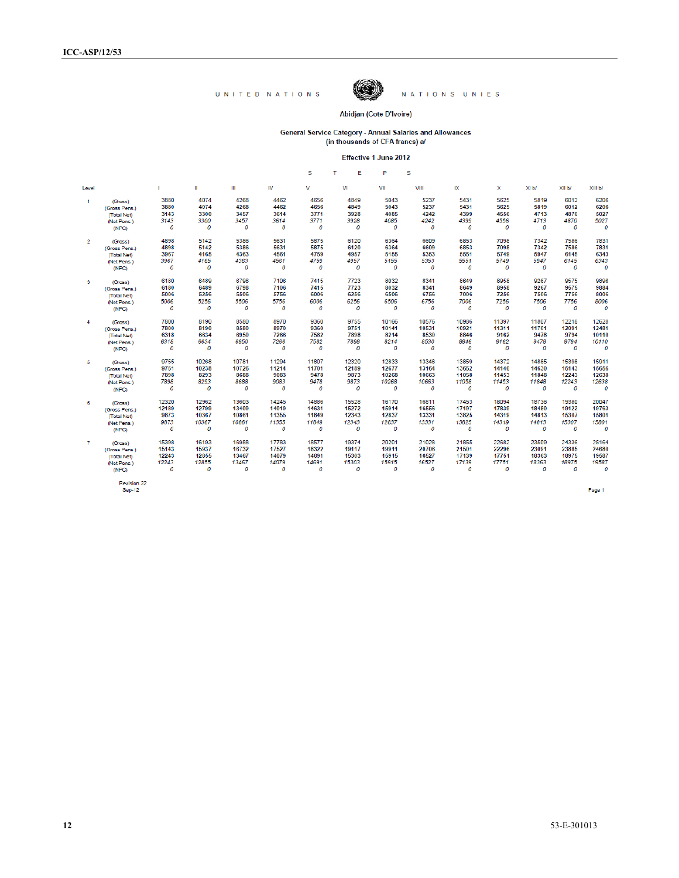

NATIONS UNIES

#### Abidjan (Cote D'Ivoire)

# General Service Category - Annual Salaries and Allowances<br>(in thousands of CFA francs) a/

|                         |               |       |       |       |          | s     | Е<br>т | P     | s     |       |       |                   |        |         |
|-------------------------|---------------|-------|-------|-------|----------|-------|--------|-------|-------|-------|-------|-------------------|--------|---------|
| Level                   |               |       | Ш     | Ш     | IV       | v     | VI     | VII   | VIII  | IX    | x     | XI <sub>b</sub> / | XII b/ | XIII b/ |
| $\mathbf{1}$            | (Gross)       | 3880  | 4074  | 4268  | 4462     | 4656  | 4849   | 5043  | 5237  | 5431  | 5625  | 5819              | 6012   | 6206    |
|                         | (Gross Pens.) | 3880  | 4074  | 4268  | 4462     | 4656  | 4849   | 5043  | 5237  | 5431  | 5625  | 5819              | 6012   | 6206    |
|                         | (Total Net)   | 3143  | 3300  | 3457  | 3614     | 3771  | 3928   | 4085  | 4242  | 4399  | 4556  | 4713              | 4870   | 5027    |
|                         | (Net Pens.)   | 3143  | 3300  | 3457  | 3614     | 3771  | 3928   | 4085  | 4242  | 4399  | 4556  | 4713              | 4870   | 5027    |
|                         | (NPC)         | 0     | 0     | 0     | 0        | 0     | 0      | 0     | 0     | 0     | 0     | 0                 | 0      | 0       |
| $\overline{2}$          | (Gross)       | 4898  | 5142  | 5386  | 5631     | 5875  | 6120   | 6364  | 6609  | 6853  | 7098  | 7342              | 7586   | 7831    |
|                         | (Gross Pens.) | 4898  | 5142  | 5386  | 5631     | 5875  | 6120   | 6364  | 6609  | 6853  | 7098  | 7342              | 7586   | 7831    |
|                         | (Total Net)   | 3967  | 4165  | 4363  | 4561     | 4759  | 4957   | 5155  | 5353  | 5551  | 5749  | 5947              | 6145   | 6343    |
|                         | (Net Pens.)   | 3967  | 4165  | 4363  | 4561     | 4759  | 4957   | 5155  | 5353  | 5551  | 5749  | 5947              | 6145   | 6343    |
|                         | (NPC)         | 0     | 0     | 0     | 0        | 0     | 0      | 0     | 0     | 0     | 0     | 0                 | 0      | 0       |
| $\overline{\mathbf{3}}$ | (Gross)       | 6180  | 6489  | 6798  | 7106     | 7415  | 7723   | 8032  | 8341  | 8649  | 8958  | 9267              | 9575   | 9896    |
|                         | (Gross Pens.) | 6180  | 6489  | 6798  | 7106     | 7415  | 7723   | 8032  | 8341  | 8649  | 8958  | 9267              | 9575   | 9884    |
|                         | (Total Net)   | 5006  | 5256  | 5506  | 5756     | 6006  | 6256   | 6506  | 6756  | 7006  | 7256  | 7506              | 7756   | 8006    |
|                         | (Net Pens.)   | 5006  | 5256  | 5506  | 5756     | 6006  | 6256   | 6506  | 6756  | 7006  | 7256  | 7506              | 7756   | 8006    |
|                         | (NPC)         | 0     | 0     | 0     | 0        | 0     | 0      | 0     | 0     | 0     | 0     | 0                 | 0      | 0       |
| 4                       | (Gross)       | 7800  | 8190  | 8580  | 8970     | 9360  | 9755   | 10166 | 10576 | 10986 | 11397 | 11807             | 12218  | 12628   |
|                         | (Gross Pens.) | 7800  | 8190  | 8580  | 8970     | 9360  | 9751   | 10141 | 10531 | 10921 | 11311 | 11701             | 12091  | 12481   |
|                         | (Total Net)   | 6318  | 6634  | 6950  | 7266     | 7582  | 7898   | 8214  | 8530  | 8846  | 9162  | 9478              | 9794   | 10110   |
|                         | (Net Pens.)   | 6318  | 6634  | 6950  | 7266     | 7582  | 7898   | 8214  | 8530  | 8846  | 9162  | 9478              | 9794   | 10110   |
|                         | (NPC)         | 0     | 0     | 0     | 0        | 0     | 0      | 0     | 0     | 0     | 0     | 0                 | 0      | 0       |
| 5                       | (Gross)       | 9755  | 10268 | 10781 | 11294    | 11807 | 12320  | 12833 | 13346 | 13859 | 14372 | 14885             | 15398  | 15911   |
|                         | (Gross Pens.) | 9751  | 10238 | 10726 | 11214    | 11701 | 12189  | 12677 | 13164 | 13652 | 14140 | 14630             | 15143  | 15656   |
|                         | (Total Net)   | 7898  | 8293  | 8688  | 9083     | 9478  | 9873   | 10268 | 10663 | 11058 | 11453 | 11848             | 12243  | 12638   |
|                         | (Net Pens.)   | 7898  | 8293  | 8688  | 9083     | 9478  | 9873   | 10268 | 10663 | 11058 | 11453 | 11848             | 12243  | 12638   |
|                         | (NPC)         | 0     | 0     | 0     | 0        | 0     | 0      | 0     | 0     | 0     | 0     | 0                 | 0      | 0       |
| 6                       | (Gross)       | 12320 | 12962 | 13603 | 14245    | 14886 | 15528  | 16170 | 16811 | 17453 | 18094 | 18736             | 19380  | 20047   |
|                         | (Gross Pens.) | 12189 | 12799 | 13409 | 14019    | 14631 | 15272  | 15914 | 16556 | 17197 | 17839 | 18480             | 19122  | 19763   |
|                         | (Total Net)   | 9873  | 10367 | 10861 | 11355    | 11849 | 12343  | 12837 | 13331 | 13825 | 14319 | 14813             | 15307  | 15801   |
|                         | (Net Pens.)   | 9873  | 10367 | 10861 | 11355    | 11849 | 12343  | 12837 | 13331 | 13825 | 14319 | 14813             | 15307  | 15801   |
|                         | (NPC)         | 0     | 0     | 0     | $\Omega$ | 0     | 0      | 0     | 0     | 0     | 0     | 0                 | 0      | 0       |
| $\overline{7}$          | (Gross)       | 15398 | 16193 | 16988 | 17783    | 18577 | 19374  | 20201 | 21028 | 21855 | 22682 | 23509             | 24336  | 25164   |
|                         | (Gross Pens.) | 15143 | 15937 | 16732 | 17527    | 18322 | 19117  | 19911 | 20706 | 21501 | 22296 | 23091             | 23885  | 24680   |
|                         | (Total Net)   | 12243 | 12855 | 13467 | 14079    | 14691 | 15303  | 15915 | 16527 | 17139 | 17751 | 18363             | 18975  | 19587   |
|                         | (Net Pens.)   | 12243 | 12855 | 13467 | 14079    | 14691 | 15303  | 15915 | 16527 | 17139 | 17751 | 18363             | 18975  | 19587   |
|                         | (NPC)         | 0     | 0     | 0     | 0        | 0     | 0      | 0     | 0     | 0     | 0     | 0                 | 0      | 0       |
|                         |               |       |       |       |          |       |        |       |       |       |       |                   |        |         |

Revision 22<br>Sep-12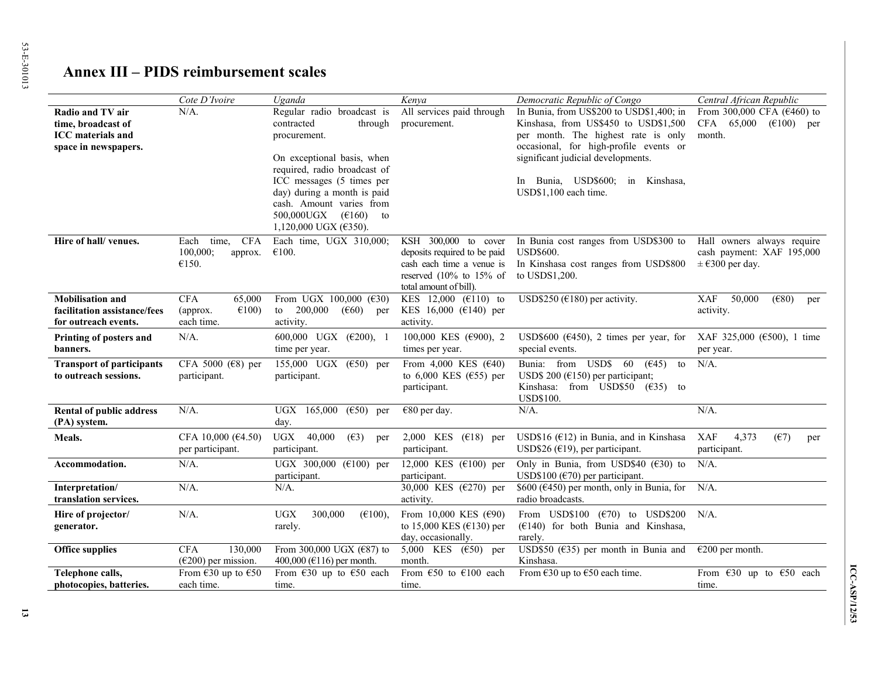# **Annex III – PIDS reimbursement scales**

|                                                                                            | Cote D'Ivoire                                                              | Uganda                                                                                                                                                                                                                                                                                                           | Kenya                                                                                                                                     | Democratic Republic of Congo                                                                                                                                                                                                                                            | Central African Republic                                                                  |
|--------------------------------------------------------------------------------------------|----------------------------------------------------------------------------|------------------------------------------------------------------------------------------------------------------------------------------------------------------------------------------------------------------------------------------------------------------------------------------------------------------|-------------------------------------------------------------------------------------------------------------------------------------------|-------------------------------------------------------------------------------------------------------------------------------------------------------------------------------------------------------------------------------------------------------------------------|-------------------------------------------------------------------------------------------|
| Radio and TV air<br>time, broadcast of<br><b>ICC</b> materials and<br>space in newspapers. | $N/A$ .                                                                    | Regular radio broadcast is<br>contracted<br>through<br>procurement.<br>On exceptional basis, when<br>required, radio broadcast of<br>ICC messages (5 times per<br>day) during a month is paid<br>cash. Amount varies from<br>500,000UGX<br>$(\text{\textsterling}160)$<br>to<br>1,120,000 UGX ( $\epsilon$ 350). | All services paid through<br>procurement.                                                                                                 | In Bunia, from US\$200 to USD\$1,400; in<br>Kinshasa, from US\$450 to USD\$1,500<br>per month. The highest rate is only<br>occasional, for high-profile events or<br>significant judicial developments.<br>Bunia, USD\$600; in Kinshasa,<br>In<br>USD\$1,100 each time. | From 300,000 CFA ( $€460$ ) to<br>CFA 65,000<br>$(\text{\textsterling}100)$ per<br>month. |
| Hire of hall/venues.                                                                       | <b>CFA</b><br>Each<br>time,<br>100,000;<br>approx.<br>€150.                | Each time, UGX 310,000;<br>€100.                                                                                                                                                                                                                                                                                 | KSH 300,000 to cover<br>deposits required to be paid<br>cash each time a venue is<br>reserved $(10\%$ to 15% of<br>total amount of bill). | In Bunia cost ranges from USD\$300 to<br><b>USD\$600.</b><br>In Kinshasa cost ranges from USD\$800<br>to USDS1,200.                                                                                                                                                     | Hall owners always require<br>cash payment: XAF 195,000<br>$\pm$ €300 per day.            |
| <b>Mobilisation and</b><br>facilitation assistance/fees<br>for outreach events.            | <b>CFA</b><br>65,000<br>$\epsilon$ 100)<br>(approx.<br>each time.          | From UGX 100,000 ( $\epsilon$ 30)<br>200,000<br>to<br>$(\epsilon 60)$<br>per<br>activity.                                                                                                                                                                                                                        | KES 12,000 ( $€110$ ) to<br>KES 16,000 (€140) per<br>activity.                                                                            | USD\$250 ( $€180$ ) per activity.                                                                                                                                                                                                                                       | <b>XAF</b><br>50,000<br>$(\epsilon \$ 80)<br>per<br>activity.                             |
| Printing of posters and<br>banners.                                                        | $N/A$ .                                                                    | 600,000 UGX $(\text{\textsterling}200)$ , 1<br>time per year.                                                                                                                                                                                                                                                    | 100,000 KES ( $\epsilon$ 900), 2<br>times per year.                                                                                       | USD\$600 ( $\epsilon$ 450), 2 times per year, for XAF 325,000 ( $\epsilon$ 500), 1 time<br>special events.                                                                                                                                                              | per year.                                                                                 |
| <b>Transport of participants</b><br>to outreach sessions.                                  | CFA 5000 ( $\in$ 8) per<br>participant.                                    | 155,000 UGX ( $\epsilon$ 50) per<br>participant.                                                                                                                                                                                                                                                                 | From 4,000 KES $(640)$<br>to 6,000 KES ( $\epsilon$ 55) per<br>participant.                                                               | Bunia: from<br>$USDS$ 60<br>(645)<br>to<br>USD\$ 200 ( $€150$ ) per participant;<br>Kinshasa: from USD\$50 $(635)$ to<br><b>USD\$100.</b>                                                                                                                               | $N/A$ .                                                                                   |
| Rental of public address<br>(PA) system.                                                   | $N/A$ .                                                                    | UGX 165,000<br>$(\epsilon 50)$ per<br>day.                                                                                                                                                                                                                                                                       | €80 per day.                                                                                                                              | $N/A$ .                                                                                                                                                                                                                                                                 | $N/A$ .                                                                                   |
| Meals.                                                                                     | CFA 10,000 (€4.50)<br>per participant.                                     | <b>UGX</b><br>40,000<br>(E3)<br>per<br>participant.                                                                                                                                                                                                                                                              | 2,000 KES $(€18)$ per<br>participant.                                                                                                     | USD\$16 ( $E$ 12) in Bunia, and in Kinshasa<br>USD\$26 ( $€19$ ), per participant.                                                                                                                                                                                      | <b>XAF</b><br>4,373<br>(E7)<br>per<br>participant.                                        |
| Accommodation.                                                                             | $N/A$ .                                                                    | UGX 300,000 (€100) per<br>participant.                                                                                                                                                                                                                                                                           | 12,000 KES ( $€100$ ) per<br>participant.                                                                                                 | Only in Bunia, from USD\$40 ( $\epsilon$ 30) to<br>USD\$100 ( $\epsilon$ 70) per participant.                                                                                                                                                                           | $N/A$ .                                                                                   |
| Interpretation/<br>translation services.                                                   | $N/A$ .                                                                    | $N/A$ .                                                                                                                                                                                                                                                                                                          | 30,000 KES (€270) per<br>activity.                                                                                                        | \$600 ( $\epsilon$ 450) per month, only in Bunia, for<br>radio broadcasts.                                                                                                                                                                                              | $N/A$ .                                                                                   |
| Hire of projector/<br>generator.                                                           | $N/A$ .                                                                    | <b>UGX</b><br>300,000<br>$(\text{\textsterling}100),$<br>rarely.                                                                                                                                                                                                                                                 | From 10,000 KES ( $€90$ )<br>to 15,000 KES ( $€130$ ) per<br>day, occasionally.                                                           | From USD\$100 $(\text{\textsterling}70)$ to USD\$200<br>$(E140)$ for both Bunia and Kinshasa,<br>rarely.                                                                                                                                                                | $N/A$ .                                                                                   |
| <b>Office supplies</b>                                                                     | <b>CFA</b><br>130,000<br>$(\text{\textsterling}200)$ per mission.          | From 300,000 UGX ( $€87$ ) to<br>400,000 ( $E116$ ) per month.                                                                                                                                                                                                                                                   | 5,000 KES ( $\epsilon$ 50) per<br>month.                                                                                                  | USD\$50 ( $\epsilon$ 35) per month in Bunia and $\epsilon$ 200 per month.<br>Kinshasa.                                                                                                                                                                                  |                                                                                           |
| Telephone calls,<br>photocopies, batteries.                                                | From $\text{\textsterling}30$ up to $\text{\textsterling}50$<br>each time. | From $\epsilon$ 30 up to $\epsilon$ 50 each<br>time.                                                                                                                                                                                                                                                             | From $\epsilon$ 50 to $\epsilon$ 100 each<br>time.                                                                                        | From $\epsilon$ 30 up to $\epsilon$ 50 each time.                                                                                                                                                                                                                       | From $\epsilon$ 30 up to $\epsilon$ 50 each<br>time.                                      |

ICC-ASP/12/53 **ICC-ASP/12/53**